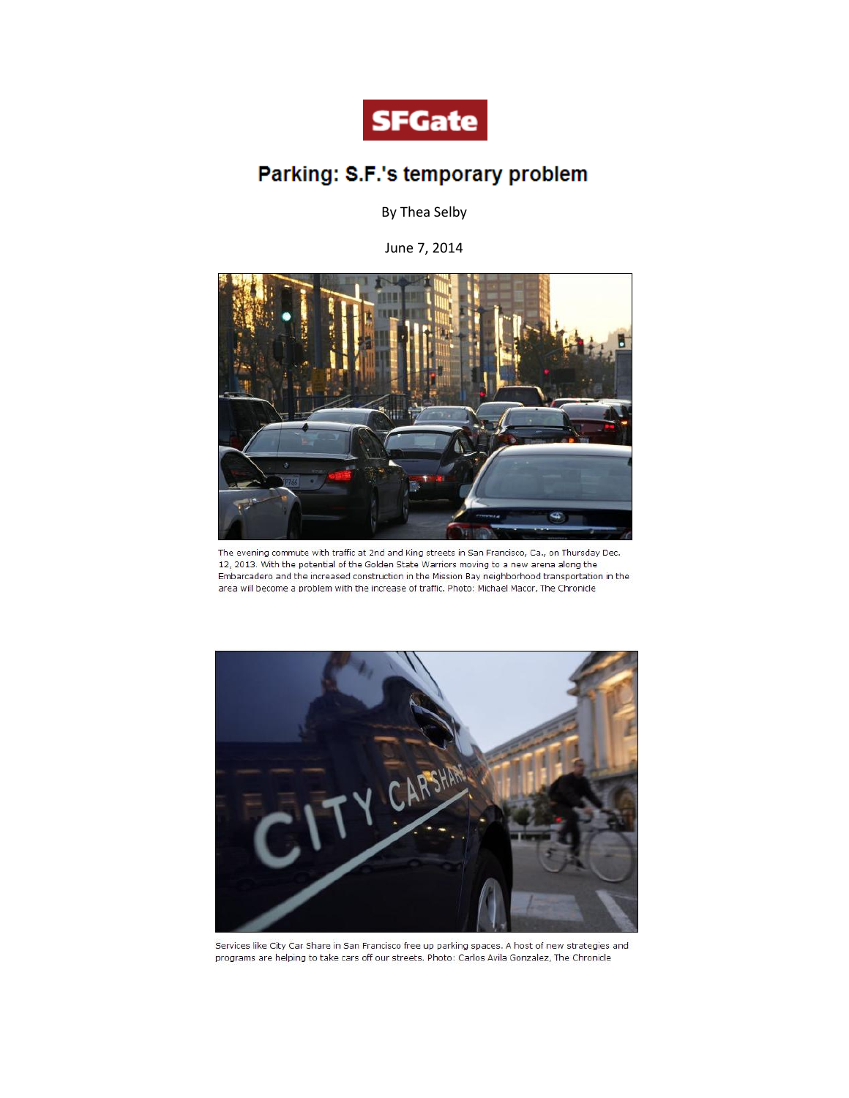

## Parking: S.F.'s temporary problem

By Thea Selby

June 7, 2014



The evening commute with traffic at 2nd and King streets in San Francisco, Ca., on Thursday Dec. 12, 2013. With the potential of the Golden State Warriors moving to a new arena along the Embarcadero and the increased construction in the Mission Bay neighborhood transportation in the area will become a problem with the increase of traffic. Photo: Michael Macor, The Chronicle



Services like City Car Share in San Francisco free up parking spaces. A host of new strategies and programs are helping to take cars off our streets. Photo: Carlos Avila Gonzalez, The Chronicle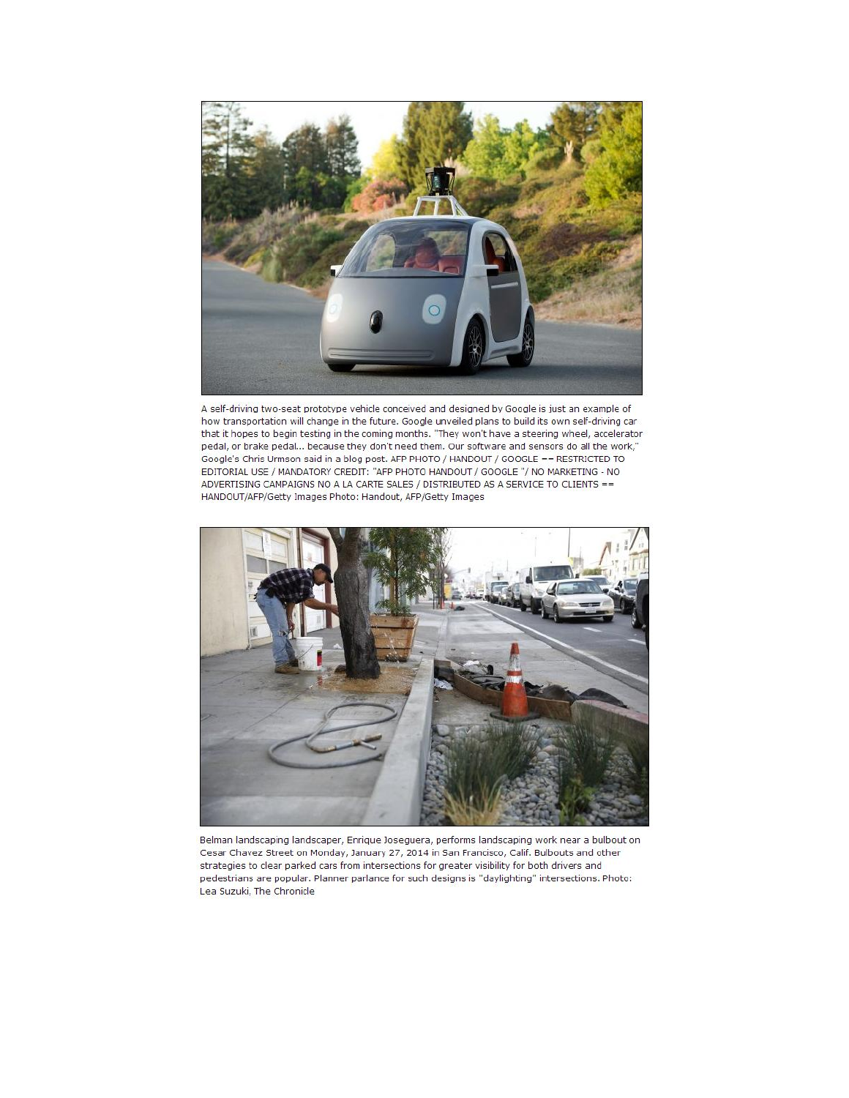

A self-driving two-seat prototype vehicle conceived and designed by Google is just an example of how transportation will change in the future. Google unveiled plans to build its own self-driving car that it hopes to begin testing in the coming months. "They won't have a steering wheel, accelerator pedal, or brake pedal... because they don't need them. Our software and sensors do all the work," Google's Chris Urmson said in a blog post. AFP PHOTO / HANDOUT / GOOGLE == RESTRICTED TO EDITORIAL USE / MANDATORY CREDIT: "AFP PHOTO HANDOUT / GOOGLE "/ NO MARKETING - NO ADVERTISING CAMPAIGNS NO A LA CARTE SALES / DISTRIBUTED AS A SERVICE TO CLIENTS == HANDOUT/AFP/Getty Images Photo: Handout, AFP/Getty Images



Belman landscaping landscaper, Enrique Joseguera, performs landscaping work near a bulbout on Cesar Chavez Street on Monday, January 27, 2014 in San Francisco, Calif. Bulbouts and other strategies to clear parked cars from intersections for greater visibility for both drivers and pedestrians are popular. Planner parlance for such designs is "daylighting" intersections. Photo: Lea Suzuki, The Chronicle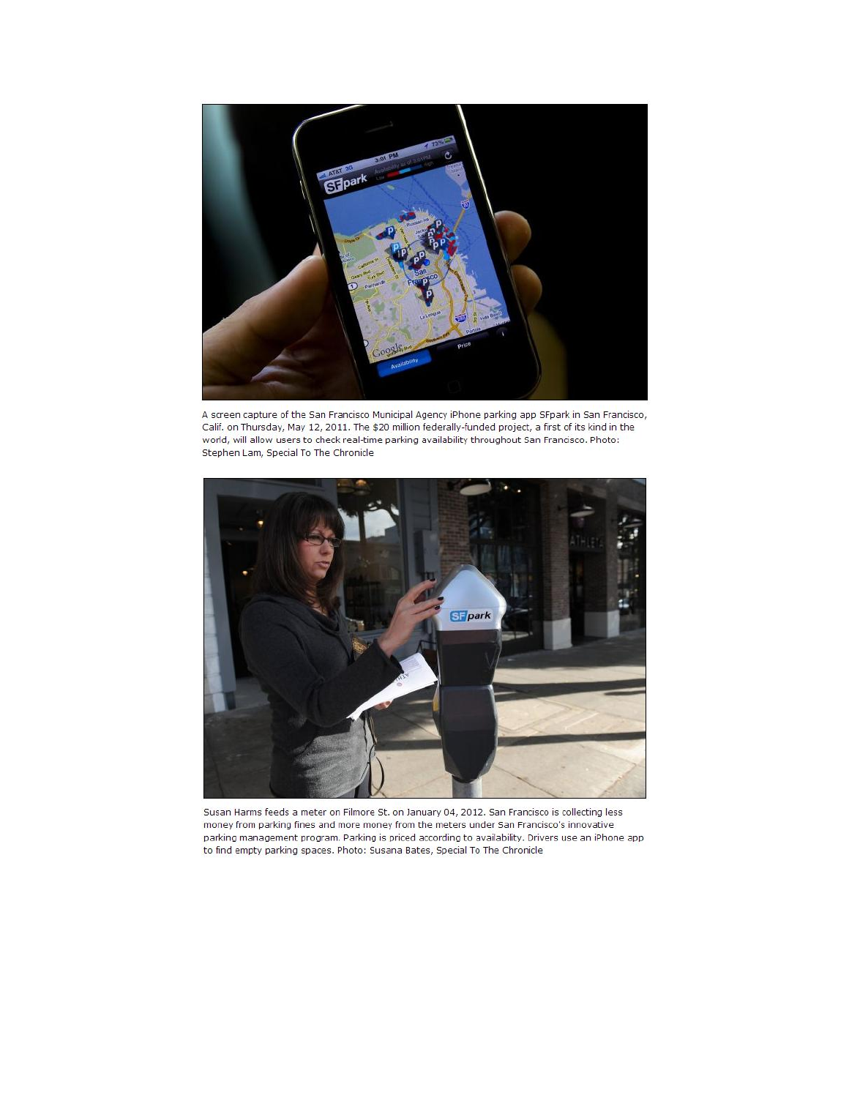

A screen capture of the San Francisco Municipal Agency iPhone parking app SFpark in San Francisco, Calif. on Thursday, May 12, 2011. The \$20 million federally-funded project, a first of its kind in the world, will allow users to check real-time parking availability throughout San Francisco. Photo: Stephen Lam, Special To The Chronicle



Susan Harms feeds a meter on Filmore St. on January 04, 2012. San Francisco is collecting less money from parking fines and more money from the meters under San Francisco's innovative parking management program. Parking is priced according to availability. Drivers use an iPhone app to find empty parking spaces. Photo: Susana Bates, Special To The Chronicle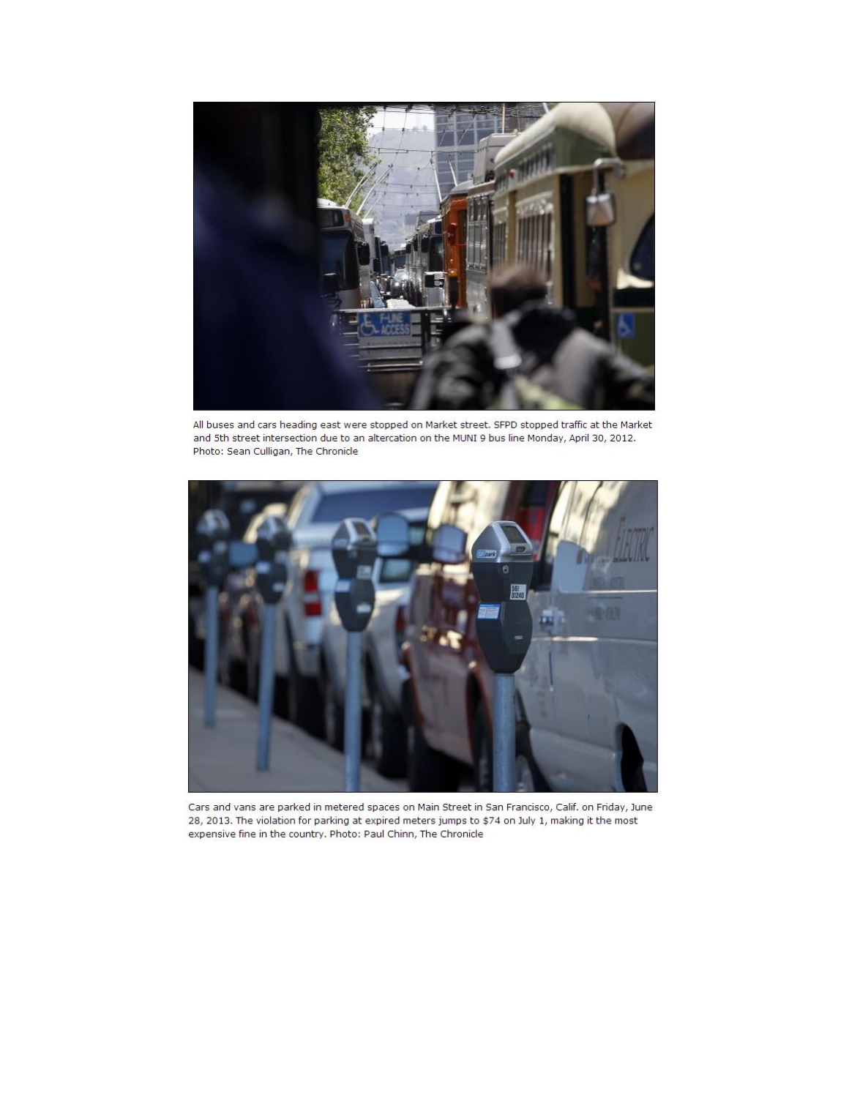

All buses and cars heading east were stopped on Market street. SFPD stopped traffic at the Market and 5th street intersection due to an altercation on the MUNI 9 bus line Monday, April 30, 2012. Photo: Sean Culligan, The Chronicle



Cars and vans are parked in metered spaces on Main Street in San Francisco, Calif. on Friday, June 28, 2013. The violation for parking at expired meters jumps to \$74 on July 1, making it the most expensive fine in the country. Photo: Paul Chinn, The Chronicle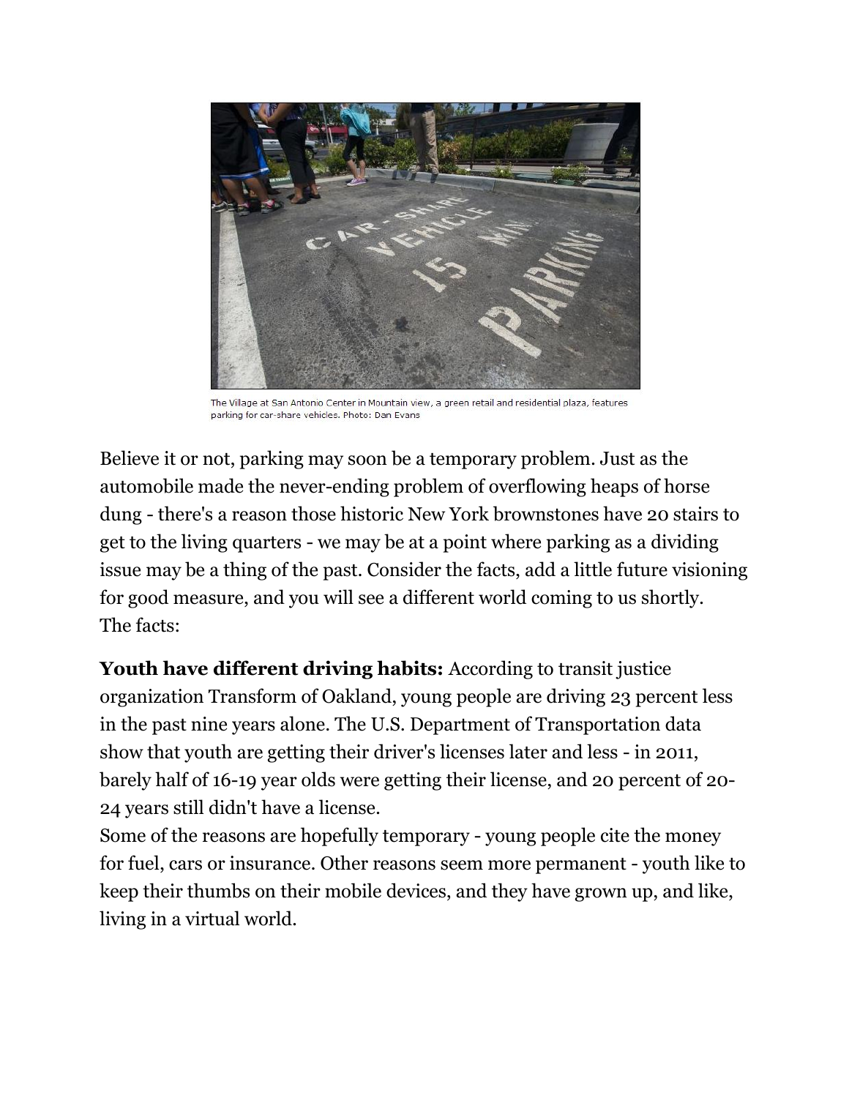

The Village at San Antonio Center in Mountain view, a green retail and residential plaza, features parking for car-share vehicles. Photo: Dan Evans

Believe it or not, parking may soon be a temporary problem. Just as the automobile made the never-ending problem of overflowing heaps of horse dung - there's a reason those historic New York brownstones have 20 stairs to get to the living quarters - we may be at a point where parking as a dividing issue may be a thing of the past. Consider the facts, add a little future visioning for good measure, and you will see a different world coming to us shortly. The facts:

**Youth have different driving habits:** According to transit justice organization Transform of Oakland, young people are driving 23 percent less in the past nine years alone. The U.S. Department of Transportation data show that youth are getting their driver's licenses later and less - in 2011, barely half of 16-19 year olds were getting their license, and 20 percent of 20- 24 years still didn't have a license.

Some of the reasons are hopefully temporary - young people cite the money for fuel, cars or insurance. Other reasons seem more permanent - youth like to keep their thumbs on their mobile devices, and they have grown up, and like, living in a virtual world.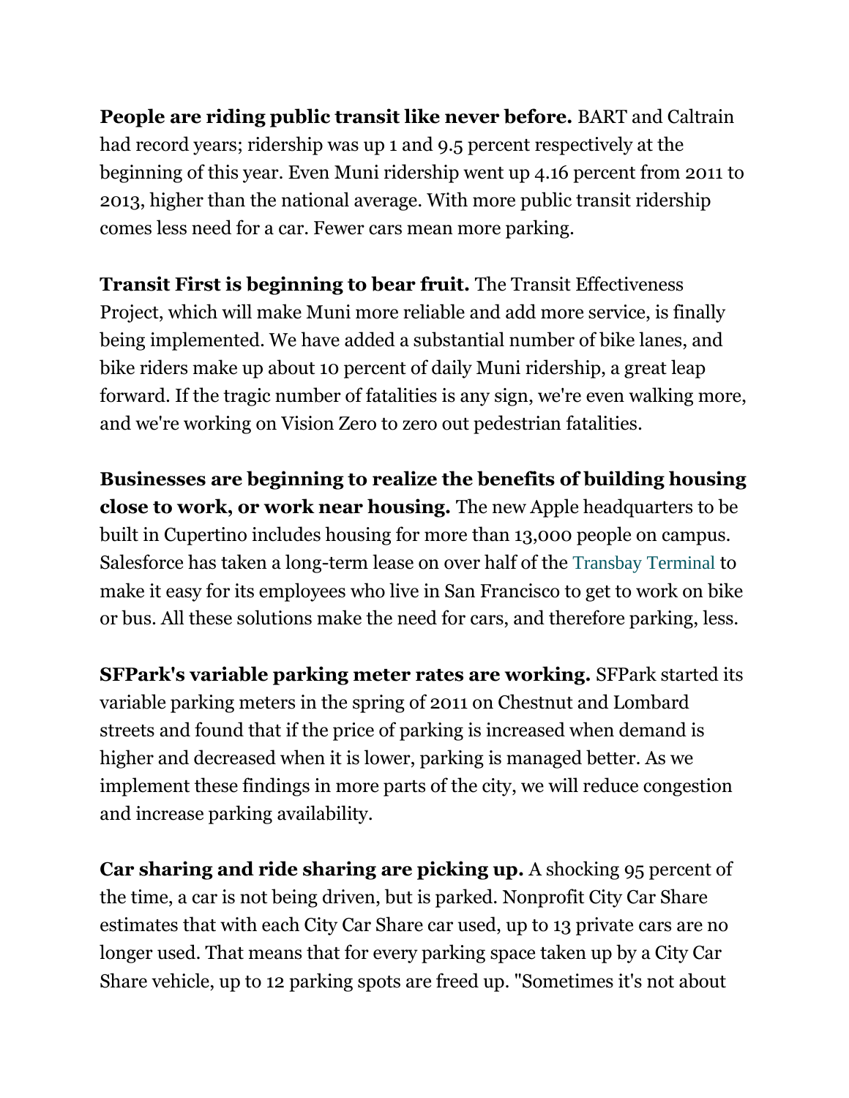**People are riding public transit like never before.** BART and Caltrain had record years; ridership was up 1 and 9.5 percent respectively at the beginning of this year. Even Muni ridership went up 4.16 percent from 2011 to 2013, higher than the national average. With more public transit ridership comes less need for a car. Fewer cars mean more parking.

**Transit First is beginning to bear fruit.** The Transit Effectiveness Project, which will make Muni more reliable and add more service, is finally being implemented. We have added a substantial number of bike lanes, and bike riders make up about 10 percent of daily Muni ridership, a great leap forward. If the tragic number of fatalities is any sign, we're even walking more, and we're working on Vision Zero to zero out pedestrian fatalities.

**Businesses are beginning to realize the benefits of building housing close to work, or work near housing.** The new Apple headquarters to be built in Cupertino includes housing for more than 13,000 people on campus. Salesforce has taken a long-term lease on over half of the [Transbay Terminal](http://www.sfgate.com/?controllerName=search&action=search&channel=opinion&search=1&inlineLink=1&query=%22Transbay+Terminal%22) to make it easy for its employees who live in San Francisco to get to work on bike or bus. All these solutions make the need for cars, and therefore parking, less.

**SFPark's variable parking meter rates are working.** SFPark started its variable parking meters in the spring of 2011 on Chestnut and Lombard streets and found that if the price of parking is increased when demand is higher and decreased when it is lower, parking is managed better. As we implement these findings in more parts of the city, we will reduce congestion and increase parking availability.

**Car sharing and ride sharing are picking up.** A shocking 95 percent of the time, a car is not being driven, but is parked. Nonprofit City Car Share estimates that with each City Car Share car used, up to 13 private cars are no longer used. That means that for every parking space taken up by a City Car Share vehicle, up to 12 parking spots are freed up. "Sometimes it's not about